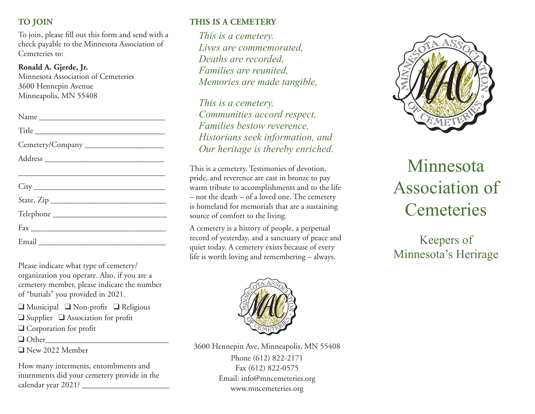## **TO JOIN**

To join, please fill out this form and send with a check payable to the Minnesota Association of Cemeteries to:

#### **Ronald A. Gjerde, Jr.**

Minnesota Association of Cemeteries 3600 Hennepin Avenue Minneapolis, MN 55408

| Name             |
|------------------|
| Title            |
| Cemetery/Company |
|                  |
|                  |
|                  |
| State, Zip       |
|                  |
|                  |
|                  |

Please indicate what type of cemetery/ organization you operate. Also, if you are a cemetery member, please indicate the number of "burials" you provided in 2021.

 $\Box$  Municipal  $\Box$  Non-profit  $\Box$  Religious  $\Box$  Supplier  $\Box$  Association for profit  $\Box$  Corporation for profit  $\Box$  Other

 $\Box$  New 2022 Member

How many interments, entombments and inurnments did your cemetery provide in the calendar year 2021? \_\_\_\_\_\_\_\_\_\_\_\_\_\_\_\_\_\_\_\_\_\_

# **THIS IS A CEMETERY**

*This is a cemetery. Lives are commemorated, Deaths are recorded, Families are reunited, Memories are made tangible,*

*This is a cemetery. Communities accord respect, Families bestow reverence, Historians seek information, and Our heritage is thereby enriched.*

This is a cemetery. Testimonies of devotion, pride, and reverence are cast in bronze to pay warm tribute to accomplishments and to the life – not the death – of a loved one. The cemetery is homeland for memorials that are a sustaining source of comfort to the living.

A cemetery is a history of people, a perpetual record of yesterday, and a sanctuary of peace and quiet today. A cemetery exists because of every life is worth loving and remembering – always.



3600 Hennepin Ave, Minneapolis, MN 55408 Phone (612) 822-2171 Fax (612) 822-0575 Email: info@mncemeteries.org www.mncemeteries.org



# Minnesota Association of **Cemeteries**

Keepers of Minnesota's Herirage